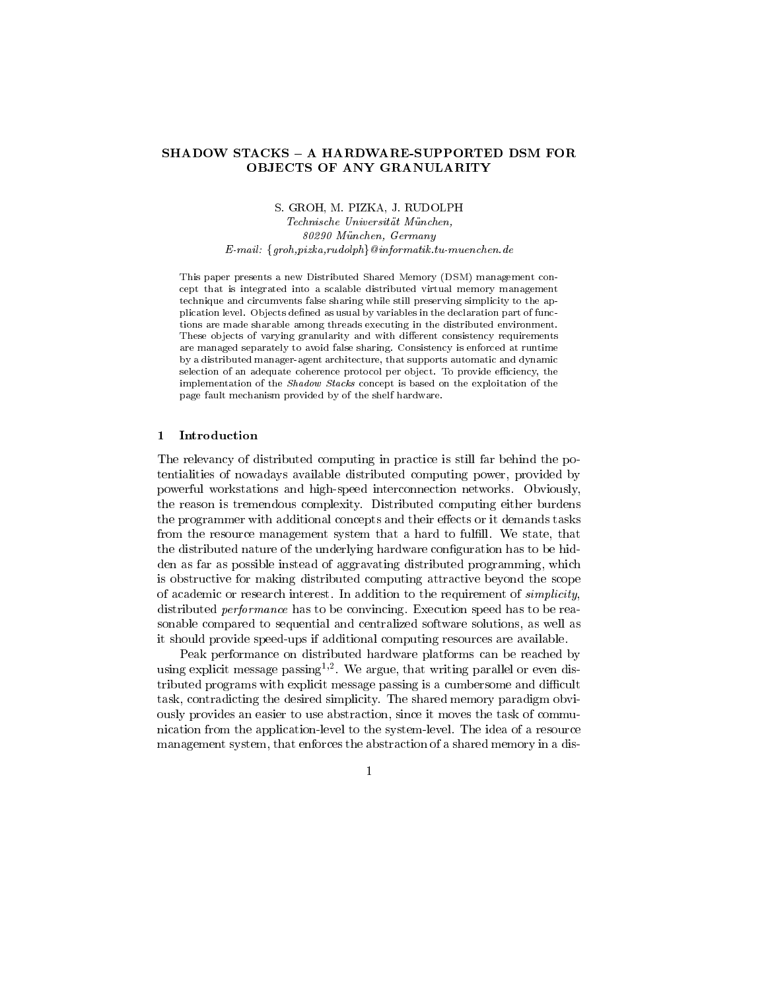# SHADOW STACKS - A HARDWARE-SUPPORTED DSM FOR OBJECTS OF ANY GRANULARITY

S. GROH, M. PIZKA, J. RUDOLPH

Technische Universität München,  $\delta$ *UZYU Munchen, Germany* E-mail:  $\{groh, pizka, rudolph\}$  @informatik.tu-muenchen.de

This paper presents a new Distributed Shared Memory (DSM) management concept that is integrated into a scalable distributed virtual memory management technique and circumvents false sharing while still preserving simplicity to the application level. Objects defined as usual by variables in the declaration part of functions are made sharable among threads executing in the distributed environment These objects of varying granularity and with different consistency requirements are managed separately to avoid false sharing Consistency is enforced at runtime by a distributed manager-agent architecture that supports automatic and dynamic selection of an adequate coherence protocol per object. To provide efficiency, the implementation of the Shadow Stacks concept is based on the exploitation of the page fault mechanism provided by of the shelf hardware

The relevancy of distributed computing in practice is still far behind the po tentialities of nowadays available distributed computing power, provided by powerful workstations and highspeed interconnections and highespeed interconnection networksthe reason istremendous complexity- Distributed computing either burdens the programmer with additional concepts and their effects or it demands tasks from the resource management system that a hard to fulll- We state that the distributed nature of the underlying hardware configuration has to be hidden as far as possible instead of aggravating distributed programming which is obstructive for making distributed computing attractive beyond the scope of academic or research interest- In addition to the requirement of simplicity distributed performance has to be convincing-material speed has to be real conventions of the real convention sonable compared to sequential and centralized software solutions as well as it should provide speed-ups if additional computing resources are available.

Peak performance on distributed hardware platforms can be reached by using explicit message passing - We argue that writing parallel or even dis tributed programs with explicit message passing is a cumbersome and difficult task contradicting the desired simplicity- The shared memory paradigm obvi ously provides an easier to use abstraction, since it moves the task of communication from the applicationlevel to the systemlevel- The idea of a resource management system, that enforces the abstraction of a shared memory in a dis-

 $\mathbf{1}$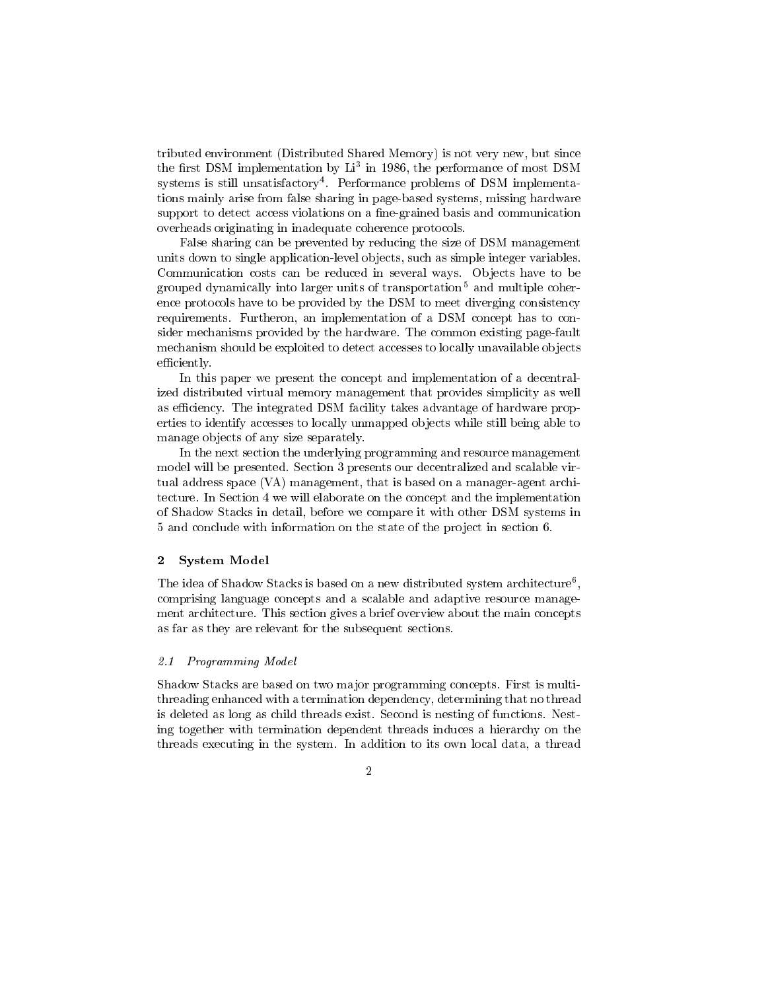tributed environment (Distributed Shared Memory) is not very new, but since  $\mu$  in  $\mu$  . The periodic position by Li- in 1980, the performance of most DSM systems is still unsatisfactory - Performance problems of DSM implementa tions mainly arise from false sharing in page-based systems, missing hardware support to detect access violations on a fine-grained basis and communication overheads originating in inadequate coherence protocols-

False sharing can be prevented by reducing the size of DSM management units down to single application-level objects, such as simple integer variables. communication costs can be reduced in several waysgrouped dynamically into larger units of transportation<sup>5</sup> and multiple coherence protocols have to be provided by the DSM to meet diverging consistency requirements-between the concept has to concept has to concept has to concept has to concept has to concept has sider mechanisms provided by the mechanisms pagefault common existing pagefault. mechanism should be exploited to detect accesses to locally unavailable ob jects efficiently.

In this paper we present the concept and implementation of a decentral ized distributed virtual memory management that provides simplicity as well as existency-based  $\mathcal{A}$  for  $\mathcal{A}$  and  $\mathcal{A}$  facility takes and  $\mathcal{A}$  are proportional proportional proportional proportional proportional proportional proportional proportional proportional proportional propo erties to identify accesses to locally unmapped objects while still being able to manage objects of any size separately.

In the next section the underlying programming and resource management model will be presented- Section  presents our decentralized and scalable vir tual address space (VA) management, that is based on a manager-agent architecture- In Section 2019, we will elaborate on the implementation and the implementation on the implementation of Shadow Stacks in detail before we compare it with other DSM systems in 5 and conclude with information on the state of the project in section 6.

#### 2 System Model

The idea of Shadow Stacks is based on a new distributed system architecture<sup>6</sup>, the contract of the contract of the contract of the contract of the contract of comprising language concepts and a scalable and adaptive resource manage ment architecture- This section gives a brief overview about the main concepts a brief over  $\Gamma$ as far as they are relevant for the subsequent sections-

#### $2.1$ Programming Model

Shadow Stacks are based on two ma jor programming concepts- First is multi threading enhanced with a termination dependency determining that no thread is deleted as long as child threads exist-of functions-of-functions-of-functions-of-functions-of-functions-ofing together with termination dependent threads induces a hierarchy on the threads executing in the system- In addition to its own local data a thread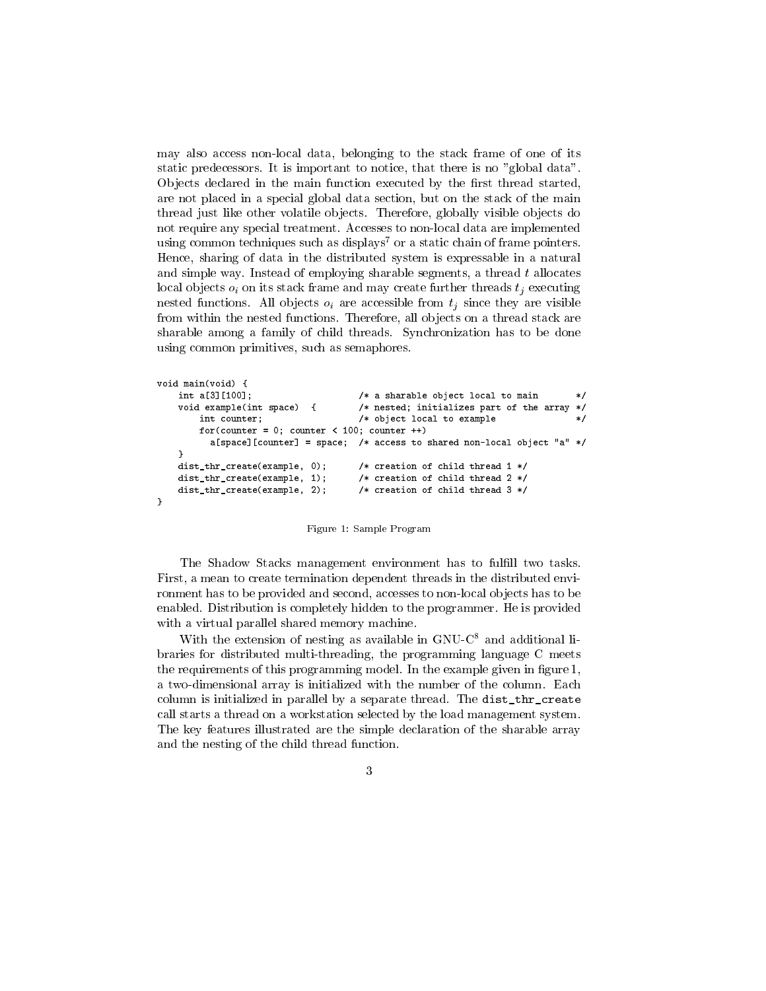may also access non-local data, belonging to the stack frame of one of its static predecessors- It is important to notice that there is no global data-Objects declared in the main function executed by the first thread started, are not placed in a special global data section, but on the stack of the main thread just like other volatile ob jects- Therefore globally visible ob jects do not require any special treatment- Accesses to nonlocal data are implemented using common techniques such as displays<sup>7</sup> or a static chain of frame pointers. Hence, sharing of data in the distributed system is expressable in a natural and simple way-the share share sharp sharp share that a thread to the share share share share local objects  $o_i$  on its stack frame and may create further threads  $t_j$  executing nested functions- All ob jects oi are accessible from tj since they are visible from within the nested functions- Therefore all ob jects on a thread stack are sharable among a family of children threads-  $\omega$  for the share form to be done. using common primitives, such as semaphores.

```
void main(void) \{int a[3][100];/* a sharable object local to main */\mathbf{r} and \mathbf{r} and \mathbf{r}void example(int space) {
                                                                       nested in interested in interested in the array of the array of the array of the array of the array of the arr
               int counter 	
                                                                        /* object local to example
                                                                                                                                                       \mathbf{r} . The contract of the contract of the contract of the contract of the contract of the contract of the contract of the contract of the contract of the contract of the contract of the contract of the contract of th
               for (counter = 0; counter < 100; counter ++)
                   aspaces to shared a space of access to shared non-local or process to a second state and a second a second a s

       dist_{str\_create(example, 0)};
                                                                       /* creation of child thread 1*/\blacksquaredist_{nr\_create(example, 1)};
                                                                              creation of children children and the children of the children of the children of the children of the children
        dist_thr_create(example, 2);
                                                                              creation of children children is a contract of the contract of the contract of the contract of the contract of
```
Figure 1: Sample Program

The Shadow Stacks management environment has to fulfill two tasks. First, a mean to create termination dependent threads in the distributed environment has to be provided and second, accesses to non-local objects has to be enables- distribution is completely interesting the programmer-  $\sim$  the provided the provided the provided the provided the provided the provided the provided the provided the provided the provided the provided the provid with a virtual parallel shared memory machine.

With the extension of nesting as available in  $GNU-C<sup>8</sup>$  and additional libraries for distributed multi-threading, the programming language C meets the requirements of this programming model-the example given in an  $\alpha$ a two dimensional array is initially initially initially denoted with the number of the columncolumn is initialized in parallel by a separate thread- The distthrcreate call starts a thread on a workstation selected by the load management system-The key features illustrated are the simple declaration of the sharable array and the nesting of the child thread function-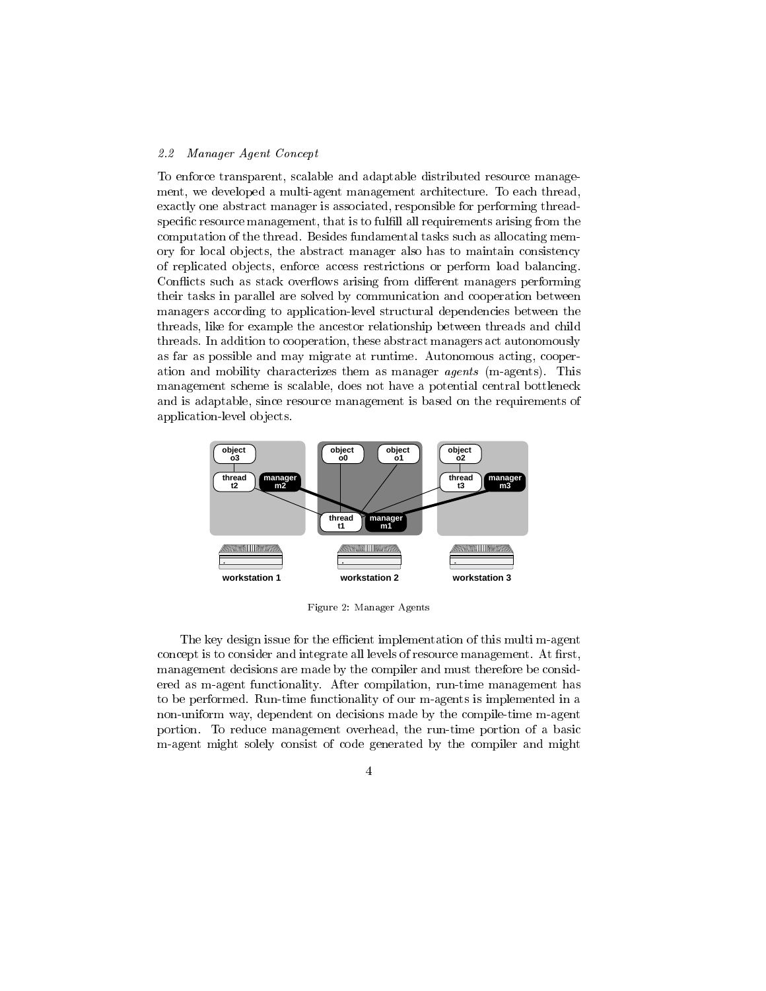### Manager Agent Concept

To enforce transparent, scalable and adaptable distributed resource management we developed a multiagent management architecture- To each thread exactly one abstract manager is associated, responsible for performing threadspecific resource management, that is to fulfill all requirements arising from the computation of the thread- Besides fundamental tasks such as allocating mem ory for local ob jects the abstract manager also has to maintain consistency of replicated ob jects enforce access restrictions or perform load balancing-Conflicts such as stack overflows arising from different managers performing their tasks in parallel are solved by communication and cooperation between managers according to application-level structural dependencies between the threads like for example the ancestor relationship between threads and child threads- In addition to cooperation these abstract managers act autonomously as far as possible and may migrate at runtime- Autonomous acting cooper ation and mobility characterizes them as manager agents-  $\mathcal{A}$  as  $\mathcal{A}$  and  $\mathcal{A}$ management scheme is scalable, does not have a potential central bottleneck and is adaptable, since resource management is based on the requirements of application-level objects.



. . A name is a strong from the strong from the strong strong from the strong strong from the strong strong str

The key design issue for the efficient implementation of this multi m-agent concept is to consider and integrated and integrated all levels of resource managements of resource  $\mathcal{L}_{\mathbf{a}}$ management decisions are made by the compiler and must therefore be consid ered as magent functionality- After compilation runtime management has to be performed- Runtime functionality of our magents is implemented in a non-uniform way, dependent on decisions made by the compile-time m-agent portion- To reduce management overhead the runtime portion of a basic magent might solely consist of code generated by the compiler and might

 $\overline{4}$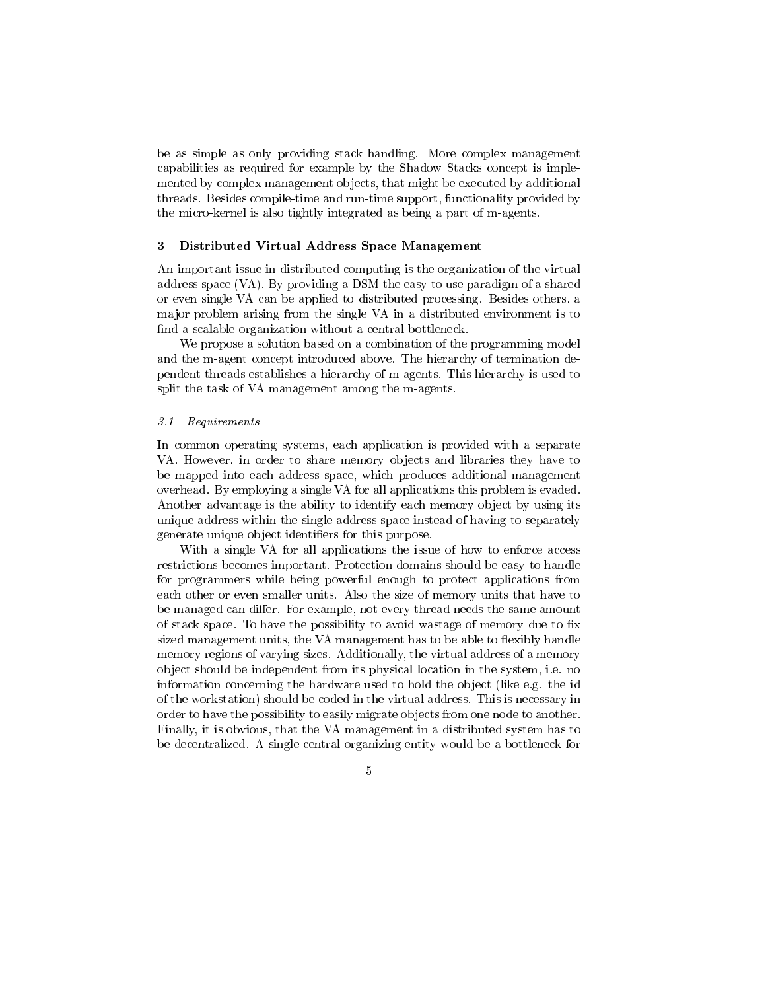be as simple as only providing stack handling- More complex management capabilities as required for example by the Shadow Stacks concept is imple mented by complex management objects, that might be executed by additional the compiletime and runtime support functionality provided by provided by provided by provided by a second by the micro-kernel is also tightly integrated as being a part of m-agents.

### Distributed Virtual Address Space Management

An important issue in distributed computing is the organization of the virtual address space VA- By providing a DSM the easy to use paradigm of a shared or even single VA can be applied to distributed processing- Besides others a major problem arising from the single VA in a distributed environment is to find a scalable organization without a central bottleneck.

We propose a solution based on a combination of the programming model and the magent concept introduced above-the mage intervals  $\mu$  the termination de pendent threads establishes a hierarchy of magentaries and magentaries and magentaries and the second to the co split the task of VA management among the m-agents.

#### $3.1$ Requirements

In common operating systems, each application is provided with a separate VA- However in order to share memory ob jects and libraries they have to be mapped into each address space, which produces additional management over head- and problem is employed variable variable in the problem is evaluated and continue the continue of Another advantage is the ability to identify each memory object by using its unique address within the single address space instead of having to separately generate unique object identifiers for this purpose.

With a single VA for all applications the issue of how to enforce access restrictions becomes important- Protection domains should be easy to handle for programmers while being powerful enough to protect applications from each or even smaller units-to-size of memory units-to-size of memory units that have to memory units that have be managed can dier- For example not every thread needs the same amount of stack space- To have the possibility to avoid wastage of memory due to x sized management units, the VA management has to be able to flexibly handle memory regions of varying sizes- Additionally the virtual address of a memory ob ject should be independent from its physical location in the system i-e- no information concerning the hardware used to hold the observed to hold the observed to hold the observed to hold the idea of  $\alpha$ of the workstation should be coded in the virtual address- This is necessary in order to have the possibility to easily migrate objects from one node to another. Finally it is obvious that the VA management in a distributed system has to  $\mathcal{A}$  single centralized-central organizing entity would be a bottleneck for a bottleneck for a bottleneck for a bottleneck for a bottleneck for a bottleneck for a bottleneck for a bottleneck for a bottleneck for a bot

 $\overline{5}$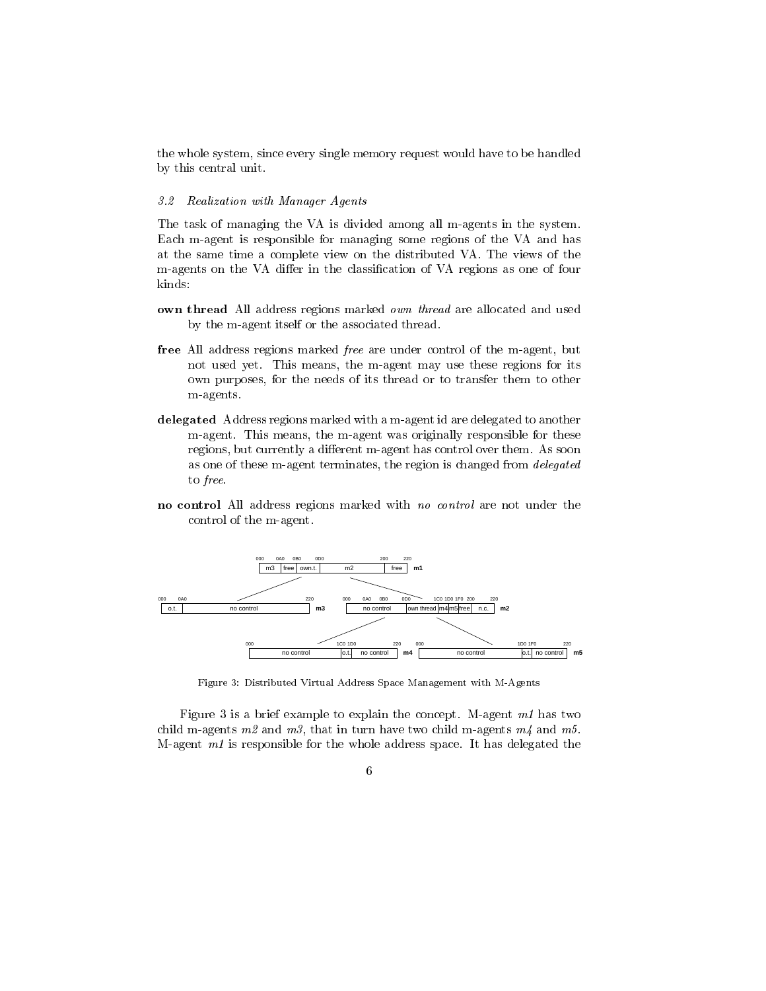the whole system, since every single memory request would have to be handled by this central unit.

### 3.2 Realization with Manager Agents

The task of managing the VA is divided among all m-agents in the system. Each m-agent is responsible for managing some regions of the VA and has at the same time a complete view on the distributed VI-C place and the same of the  $\sim$ m-agents on the VA differ in the classification of VA regions as one of four kinds:

- own thread All address regions marked own thread are allocated and used by the m-agent itself or the associated thread.
- free All address regions marked *free* are under control of the m-agent, but not mean yet-the magent magent may use the magent may use the magent may use the second own purposes for the needs of its thread or to transfer them to other m-agents.
- delegated Address regions marked with a m-agent id are delegated to another magent- This means the magent was originally responsible for these regions but currently a dierent magent has control over them- As soon as one of these m-agent terminates, the region is changed from *delegated* to *free*.
- no control All address regions marked with no control are not under the control of the m-agent.



Figure Distributed Virtual Address Space Management with M-Agents

 $\mathbf{r}$  is a brief example to explain the concept-to-concept-to-concept-to-concept-to-concept-to-concept-to-concept-to-concept-to-concept-to-concept-to-concept-to-concept-to-concept-to-concept-to-concept-to-concept-to-co child m-agents m2 and m3, that in turn have two child m-agents  $m/4$  and m5. Magent m- is responsible for the whole address space- It has delegated the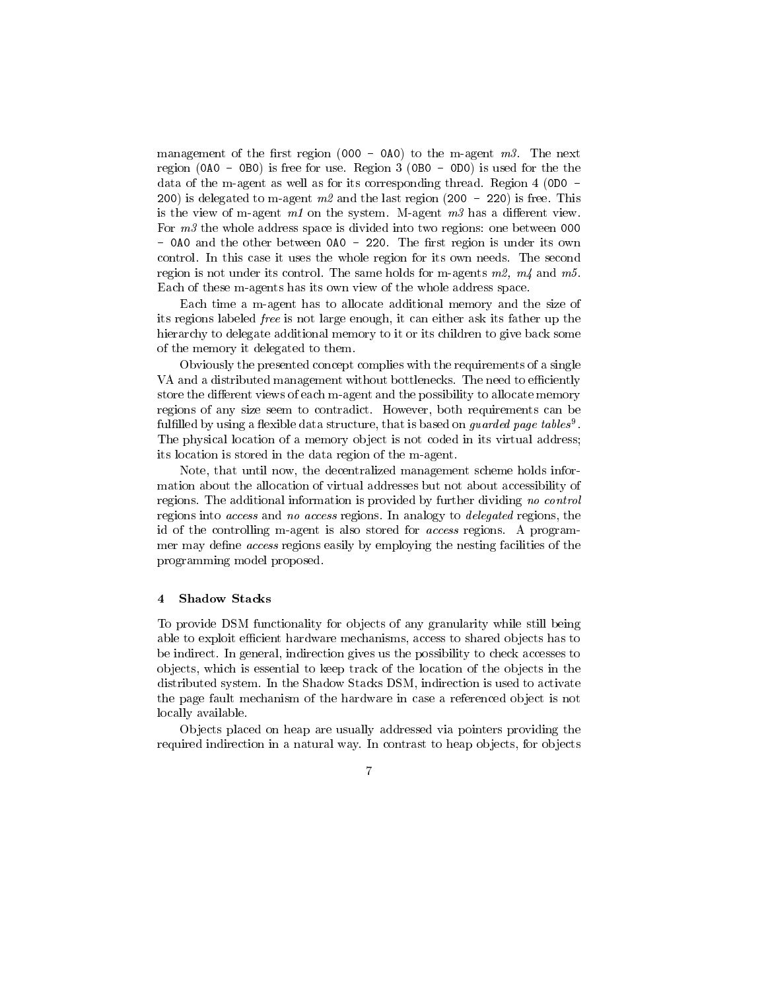management of the rst region - A to the magent m- The next region A - B is free for use- Region  B - D is used for the the data of the magnetic as well as the corresponding thread-sponding the complete  $\mathcal{L}$ is defined to make  $\alpha$  and the last region  $\alpha$  and  $\alpha$  is freedom  $\alpha$  . This free  $\alpha$ is the view of magent m- on the system- Magent m has a dierent view-For  $m \beta$  the whole address space is divided into two regions: one between 000 - A and the other between A - and the region is opened to the region is owned and the region is owned and the r controlled the whole region for its own needs the whole region for its own needsregion is not under its control- The same holds for magents m m and m-Each of these m-agents has its own view of the whole address space.

Each time a m-agent has to allocate additional memory and the size of its regions labeled free is not large enough it can either ask its father up the hierarchy to delegate additional memory to it or its children to give back some of the memory it delegated to them-

Obviously the presented concept complies with the requirements of a single VA and a distributed management without bottlenecks- The need to eciently store the different views of each m-agent and the possibility to allocate memory regions of any size seem to contradict- methods can be requirements can be a  $\tt{full}$  rullified by using a flexible data structure, that is based on  $\it{quardea}$  page  $\it{taotes}$  . The physical location of a memory object is not coded in its virtual address; its location is stored in the data region of the m-agent.

Note, that until now, the decentralized management scheme holds information about the allocation of virtual addresses but not about accessibility of regions- The additional information is provided by further dividing no control regions into access and no access regions- In analogy to delegated regions the id of the controlling magent is also stored for access regions- A program mer may define *access* regions easily by employing the nesting facilities of the programming model proposed-

#### Shadow Stacks  $\overline{\mathbf{4}}$

To provide DSM functionality for ob jects of any granularity while still being able to exploit efficient hardware mechanisms, access to shared objects has to be indirect- In general indirection gives us the possibility to check accesses to objects, which is essential to keep track of the location of the objects in the distributed system-system-system-system-system-system-system-system-system-system-system-system-system-systemthe page fault mechanism of the hardware in case a referenced ob ject is not locally available.

Ob jects placed on heap are usually addressed via pointers providing the required indirection in a natural way- In contrast to heap ob jects for ob jects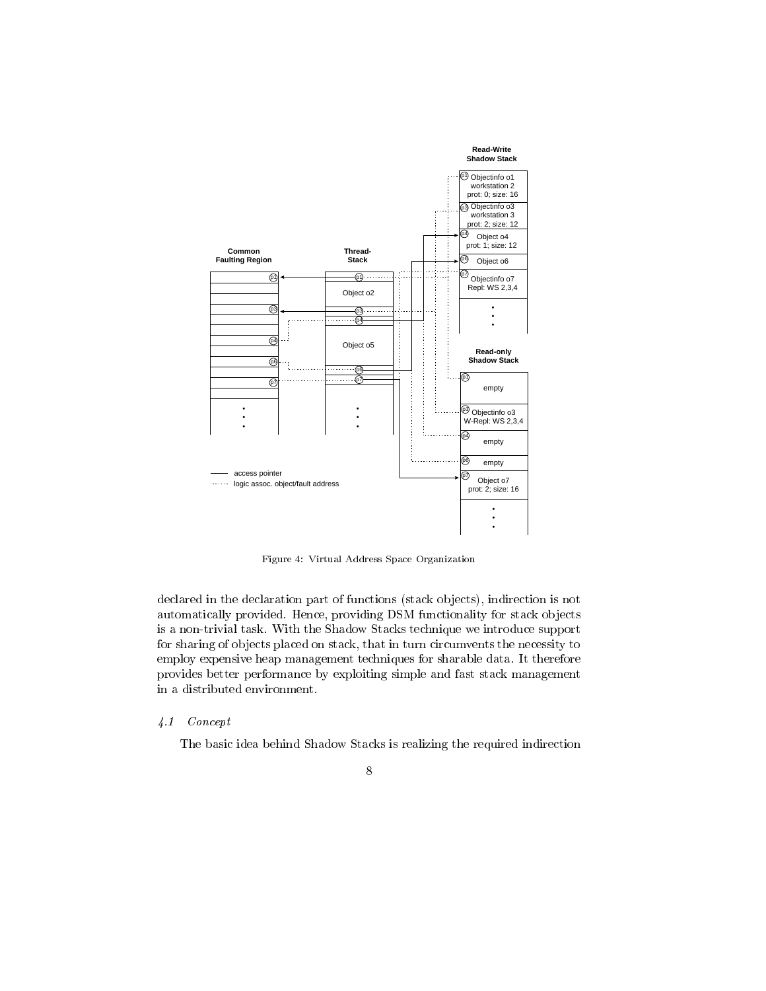

Figure 4: Virtual Address Space Organization

declared in the declaration part of functions (stack objects), indirection is not automatically provided at  $\mathbb{R}$  provided  $\mathbb{R}$  functional  $\mathbb{R}$  functionality for stack ob jects of  $\mathbb{R}$ is a nontrivial task-stacked the Shadow Stacks technique we introduce supported the Shadow Stacks technique we for sharing of objects placed on stack, that in turn circumvents the necessity to employ expensive heap management techniques for sharable data- It therefore provides better performance by exploiting simple and fast stack management in a distributed environment.

### - Concept

The basic idea behind Shadow Stacks is realizing the required indirection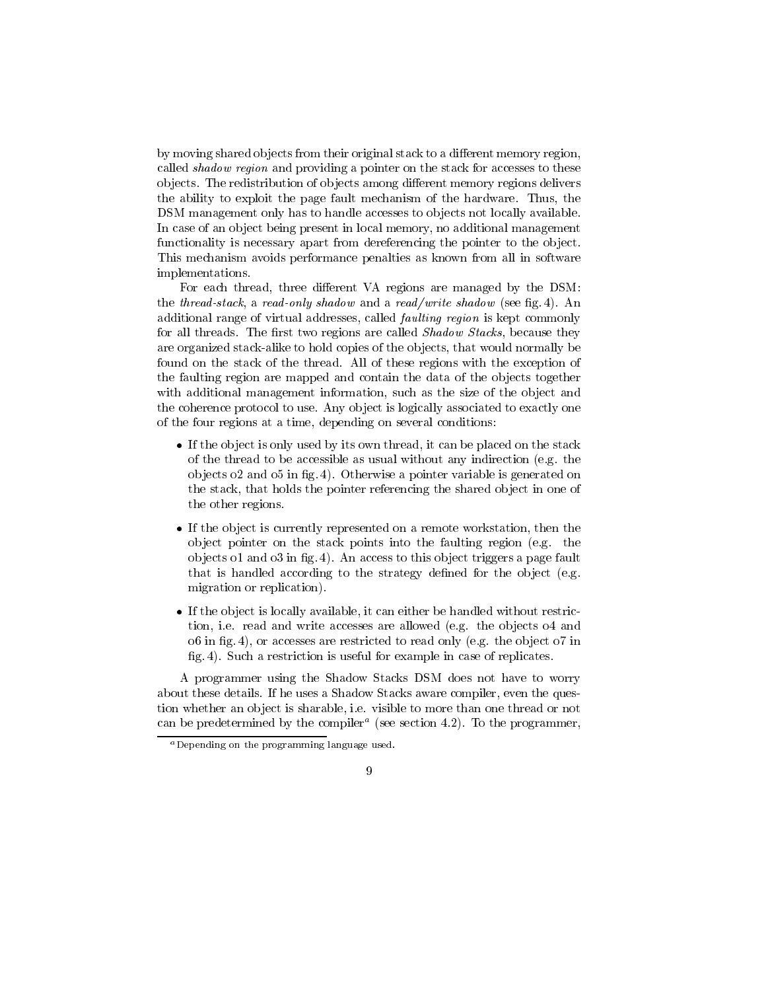by moving shared objects from their original stack to a different memory region, called shadow region and providing a pointer on the stack for accesses to these ob jects- The redistribution of observed memory dierent memory regions delivers and memory regions deliverse o the ability to exploit the page fault mechanism of the hardware-the fault mechanism of the h DSM management only has to handle accesses to objects not locally available. In case of an object being present in local memory, no additional management functionality is necessary apart from dereferencing the pointer to the object. This mechanism avoids performance penalties as known from all in software implementations-

For each thread, three different VA regions are managed by the DSM: the threadstack a readonly shadow and a read with shadow see shadow see g-to-completely seeming the state of the state of the state of the state of the state of the state of the state of the state of the state of the state additional range of virtual addresses, called *faulting region* is kept commonly for all threads- The rst two regions are called Shadow Stacks because they are organized stack-alike to hold copies of the objects, that would normally be found on the stack of the thread- All of these regions with the exception of the faulting region are mapped and contain the data of the objects together with additional management information, such as the size of the object and the coherence protocol to use- Any ob ject is logically associated to exactly one of the four regions at a time, depending on several conditions:

- If the ob ject is only used by its own thread it can be placed on the stack of the thread to be accessible as usual without any indirection e-dimensional without any indirection e-dimensional without any indirection e-dimensional without any indirection e-dimensional without any indirection e-dim ob jects o and o in g- 
- Otherwise a pointer variable is generated on the stack that holds the pointer referencing the shared ob ject in one of the other regions.
- If the ob ject is currently represented on a remote workstation then the ob ject pointer on the stack points into the faulting region e-g- the objects to this or in  $\pi/\gamma$  c). This observes to this object triggers at page factors that is denomined according to the strategy denomined for the object  $\mathcal{C}$ migration or replication).
- If the ob ject is locally available it can either be handled without restric the observed e-contract and write accesses are allowed e-contract and write and write and write and write and o in g-accesses are restricted to restricted to read only e-f-accesses are restricted to read on a set of the o g- 
- Such a restriction is useful for example in case of replicates-

A programmer using the Shadow Stacks DSM does not have to worry about the uses and uses a Shadow Stacks are computed to the uses and the complete the component of the complete tion whether an object is sharefully fire thanks it more than one than one than or note than  $\mathcal{L}_{\mathcal{A}}$ can be predetermined by the compiler  $\rightarrow$  (see section 4.2). To the programmer,

 $a$  Depending on the programming language used.

 $\overline{Q}$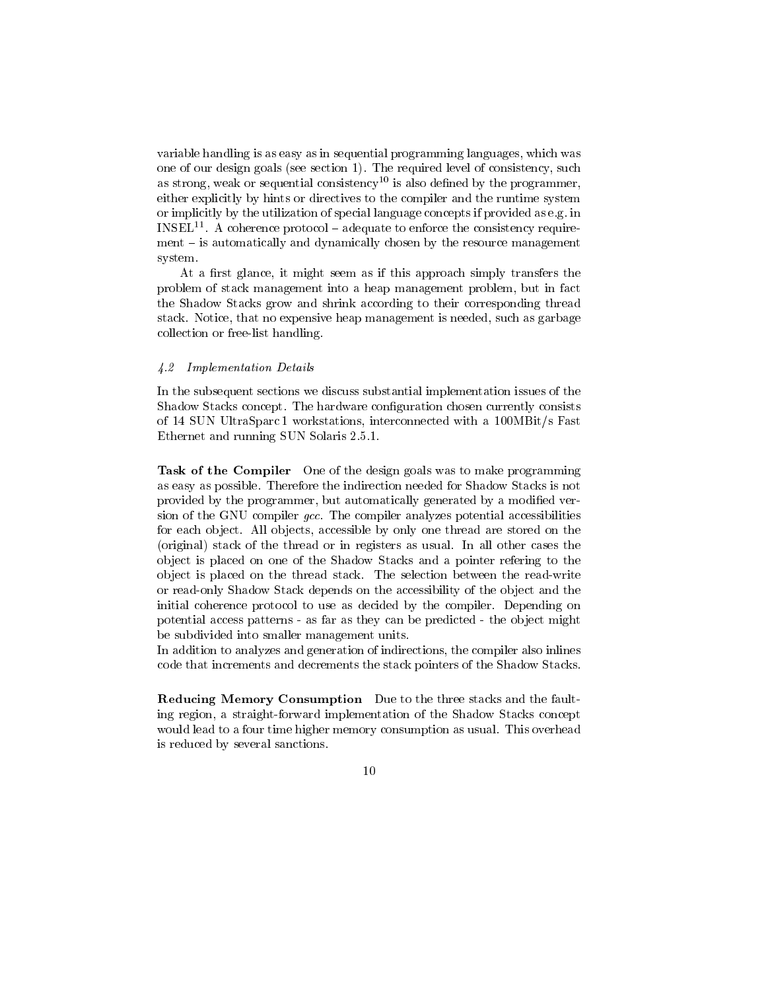variable handling is as easy as in sequential programming languages which was one of our design goals see section - The required level of consistency such as strong, weak or sequential consistency<sup>10</sup> is also defined by the programmer, either explicitly by hints or directives to the compiler and the runtime system or implicitly by the utilization of special language concepts if the provided as e-INSELT A coherence protocol — adequate to enforce the consistency requirement  $-$  is automatically and dynamically chosen by the resource management system. system-

At a first glance, it might seem as if this approach simply transfers the problem of stack management into a heap management problem, but in fact the Shadow Stacks grow and shrink according to their corresponding thread stack-istack-processed as the such as a stack-processed such as as such as a garbagement  $\Delta$ collection or free-list handling.

## 4.2 Implementation Details

In the subsequent sections we discuss substantial implementation issues of the Shadow Stacks concept- The hardware conguration chosen currently consists of 14 SUN UltraSparc 1 workstations, interconnected with a 100MBit/s Fast  $\mathbf{F}$ 

Task of the Compiler One of the design goals was to make programming as easy as possible-the-indirection needed for Shadow Stacks is not Shadow Stacks is not Shadow Stacks is not provided by the programmer, but automatically generated by a modified version of the GNU compiler gcc- The compiler analyzes potential accessibilities for each ob ject- All ob jects accessible by only one thread are stored on the  $\mathbf n$  in the thread or in registers as usualob ject is placed on one of the Shadow Stacks and a pointer refering to the object is placed on the thread stack-stack-controllection between the read stackor read-only Shadow Stack depends on the accessibility of the object and the initial coherence protocol to use as decided by the compiler- Depending on potential access patterns - as far as they can be predicted - the object might be subdivided into smaller management units.

In addition to analyzes and generation of indirections the compiler also inlines code that increments and decrements the stack pointers of the Shadow Stacks-

Reducing Memory Consumption Due to the three stacks and the fault ing region, a straight-forward implementation of the Shadow Stacks concept would lead to a four time higher memory consumption as usualis reduced by several sanctions-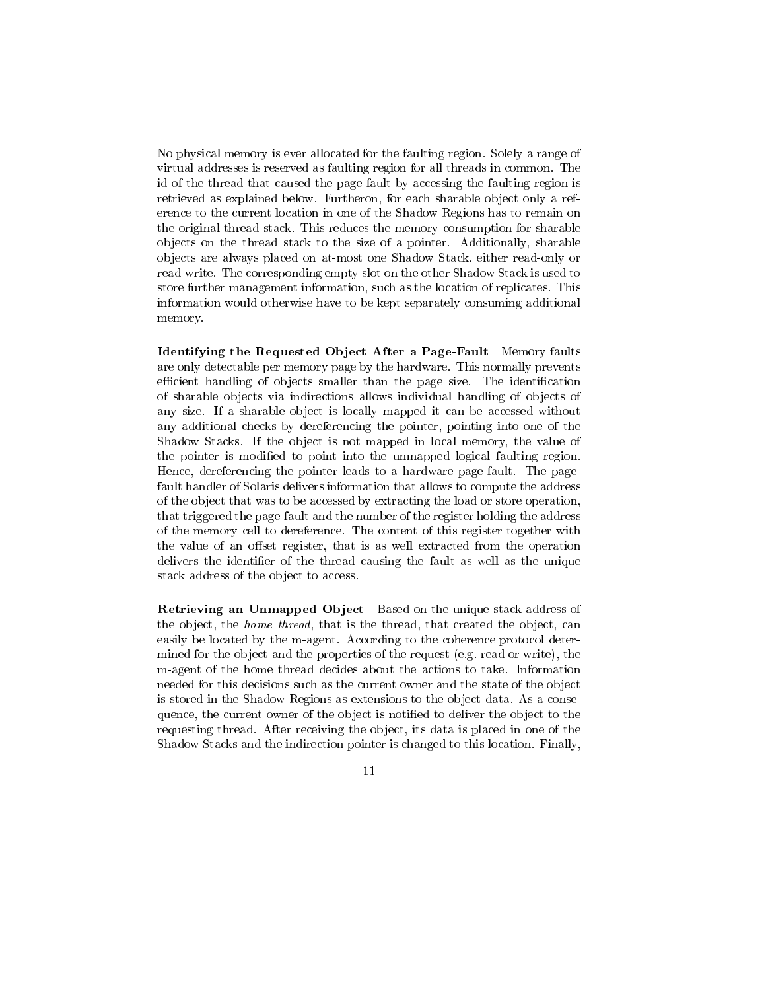No physical memory is ever allocated for the faulting region- Solely a range of virtual addresses is reserved as faulting region for all threads in common- The id of the thread that caused the pagefault by accessing the faulting region is retrieved as explained below- Furtheron for each share observed below-  $\mathcal{F}_{\mathcal{A}}$ erence to the current location in one of the Shadow Regions has to remain on the original thread stack- in share that the memory consumption for share  $\cdots$  . ob jects on the thread stack to the size of a pointer- Additionally sharable ob jects are always placed on atmost one Shadow Stack either readonly or readwrite- The corresponding empty slot on the other Shadow Stack is used to store further management information such as the location of replicates- This information would otherwise have to be kept separately consuming additional memory-

Identifying the Requested Object After a Page-Fault Memory faults are only detectable per memory page by the main by the hardware-memory prevents. ecient handling of ob jects smaller than the page size- The identication of sharable ob jects via indirections allows individual handling of ob jects of any size- If a sharable ob ject is locally mapped it can be accessed without any additional checks by dereferencing the pointer, pointing into one of the Shadow Stacks- If the ob ject is not mapped in local memory the value of the pointer is modified to point into the unmapped logical faulting region. Hence dereferencing the pointer leads to a hardware pagefault- The page fault handler of Solaris delivers information that allows to compute the address of the object that was to be accessed by extracting the load or store operation, that triggered the page-fault and the number of the register holding the address of the memory cell to dereference- The content of this register together with the value of an offset register, that is as well extracted from the operation delivers the identifier of the thread causing the fault as well as the unique stack address of the object to access.

Retrieving an Unmapped Object Based on the unique stack address of the object, the *home thread*, that is the thread, that created the object, can easily be located by the magent- According to the coherence protocol deter mined for the object and the properties of the request (sign read or write  $\eta$  ) and magent of the home thread decides about the actions to take- Information needed for this decisions such as the current owner and the state of the object is stored in the Shadow Regions as extensions to the ob ject data- As a conse quence, the current owner of the object is notified to deliver the object to the requesting thread- After receiving the ob ject its data is placed in one of the Shadow Stacks and the indirection pointer is changed to this location- Finally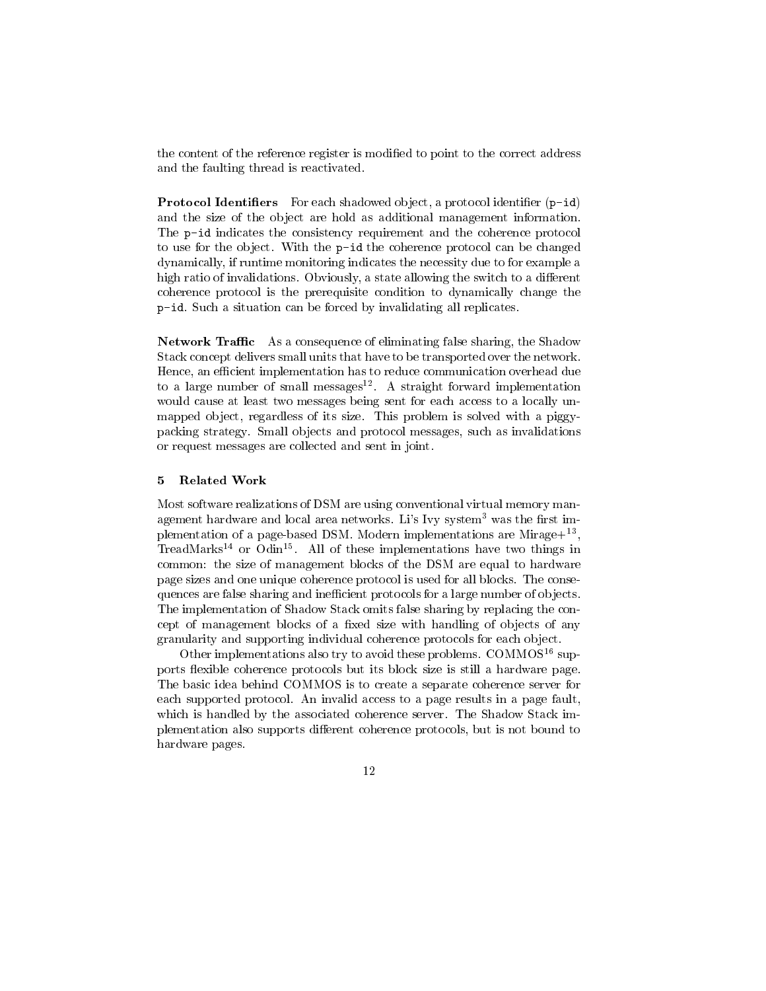the content of the reference register is modified to point to the correct address and the faulting thread is reactivated.

Protocol Identiers For each shadowed ob ject a protocol identier p-id and the size of the object are hold as additional management information. The p-id indicates the consistency requirement and the coherence protocol to use for the ob ject- With the p-id the coherence protocol can be changed dynamically, if runtime monitoring indicates the necessity due to for example a high ratio of invalidations- Obviously a state allowing the switch to a dierent coherence protocol is the prerequisite condition to dynamically change the p-situation can be forced by interesting and be forced by interesting all replications.

Network Traffic As a consequence of eliminating false sharing, the Shadow Stack concept delivers small units that have to be transported over the network-Hence, an efficient implementation has to reduce communication overhead due to a large number of small messages - A straight forward implementation would cause at least two messages being sent for each access to a locally un mapped ob ject regardless of its size- This problem is solved with a piggy packing strategy- Small ob jects and protocol messages such as invalidations or request messages are collected and sent in joint-

#### 5 Related Work

Most software realizations of DSM are using conventional virtual memory man agement naruware and local area networks. Lis Ivy system-was the first im $p$ iementation of a page-based DSM. Modern implementations are Mirage $+$  , TreadMarks<sup>--</sup> or Odin<sup>--</sup>. All of these implementations have two things in common: the size of management blocks of the DSM are equal to hardware page sizes and one unique coherence protocol is used for all blocks-collected for all blocksquences are false sharing and inefficient protocols for a large number of objects. The implementation of Shadow Stack omits false sharing by replacing the con cept of management blocks of a fixed size with handling of objects of any granularity and supporting individual coherence protocols for each ob ject-

Other implementations also try to avoid these problems. COMMOS<sup> $\cdot$ </sup> supports flexible coherence protocols but its block size is still a hardware page. The basic idea behind COMMOS is to create a separate coherence server for each supported protocol- An invalid access to a page results in a page fault which is handled by the associated by the associated coherence server-server-server-server-server-server-serverplementation also supports different coherence protocols, but is not bound to hardware pages.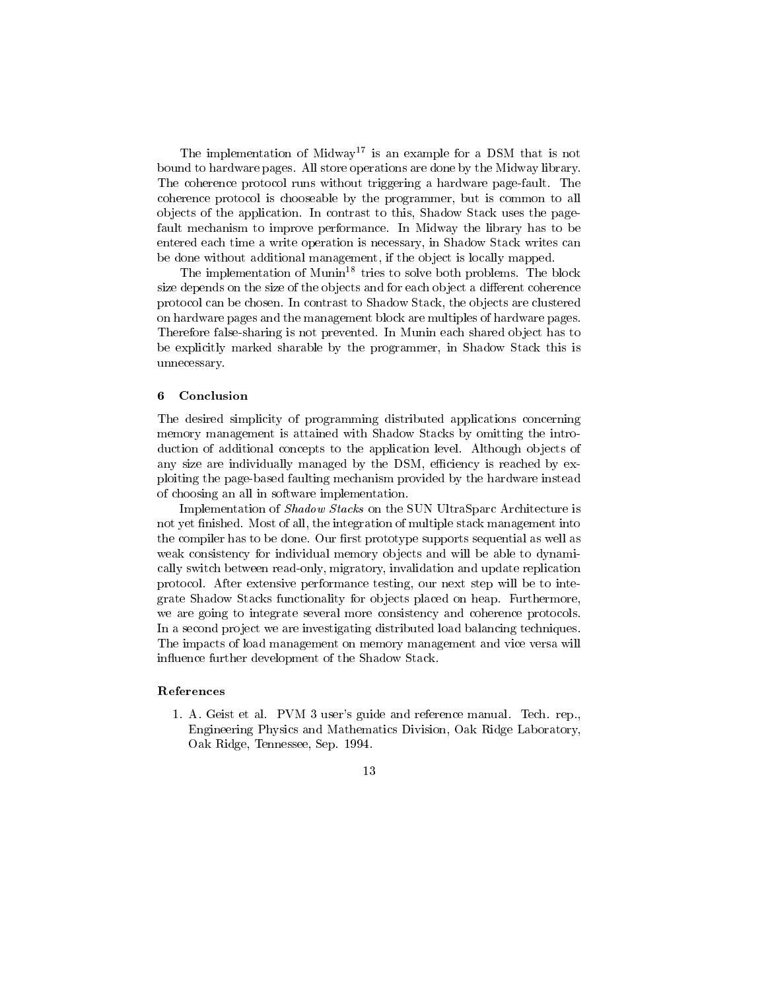The implementation of Midway<sup>17</sup> is an example for a DSM that is not bound to hardware pages- All store operations are done by the Midway library-The coherence protocol runs without triggering a hardware pagefault- The coherence protocol is chooseable by the programmer, but is common to all objects of the application- in contrast to this parameter to the shadow Stack uses the page fault mechanism to improve performance- In Midway the library has to be entered each time a write operation is necessary in Shadow Stack writes can be done without additional management, if the object is locally mapped.

Ine implementation of Munin<sup>--</sup> tries to solve both problems. The block size depends on the size of the objects and for each object a different coherence protocol can be chosen- In contrast to Shadow Stack the ob jects are clustered on hardware pages and the management block are multiples of hardware pages-Therefore falsesharing is not prevented- In Munin each shared ob ject has to be explicitly marked sharable by the programmer, in Shadow Stack this is unnecessary-

#### 6 Conclusion

The desired simplicity of programming distributed applications concerning memory management is attained with Shadow Stacks by omitting the intro duction of additional concepts to the application level- Although ob jects of any size are individually managed by the DSM, efficiency is reached by exploiting the pagebased faulting mechanism provided by the hardware instead of choosing an all in software implementation-

Implementation of Shadow Stacks on the SUN UltraSparc Architecture is not yet nished- most of multiple state  $\lambda$  multiple state management into the into  $\lambda$ the complete man to be done- Our measure prototype supports sequential as well as well as weak consistency for individual memory objects and will be able to dynamically switch between read-only, migratory, invalidation and update replication protocol- After extensive performance testing our next step will be to inte grate Shadow Stacks functionality for ob jects placed on heap- Furthermore we are going to integrate several more consistency and coherence protocols. In a second project we are investigating distributed load balancing techniques. The impacts of load management on memory management and vice versa will influence further development of the Shadow Stack.

### References

 $\mathbf{A}$  and reference manual-definition manual-definition manual-definition manual-definition manual-definition manual-Engineering Physics and Mathematics Division, Oak Ridge Laboratory, order the tennessee Sep-